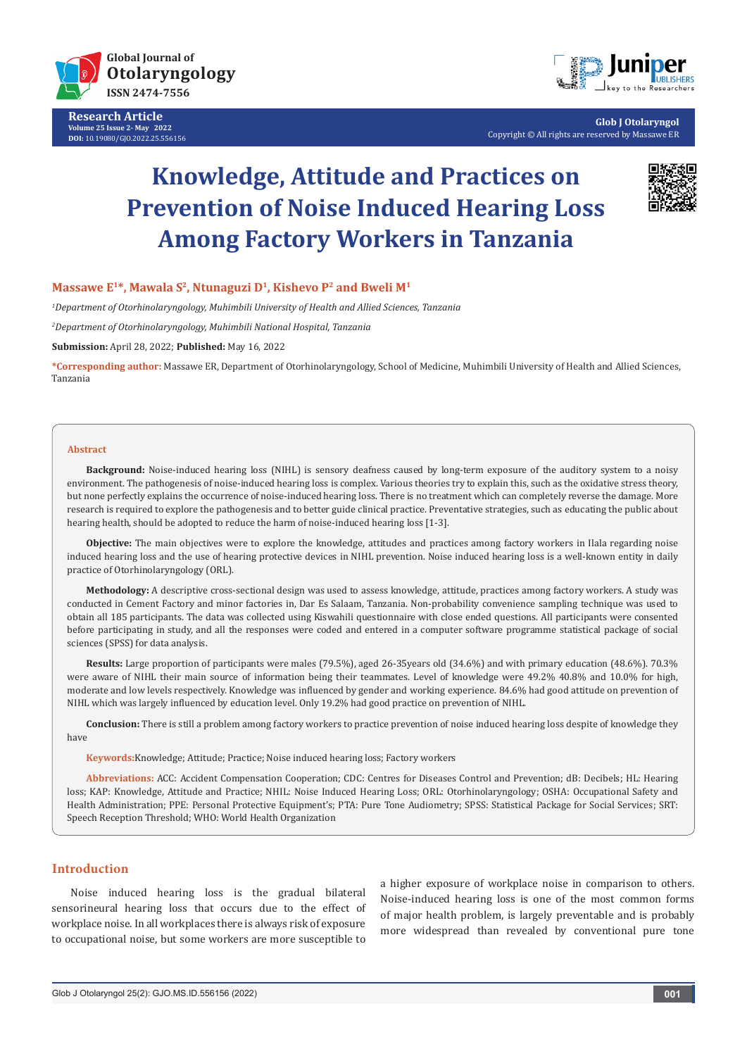

**Research Article Volume 25 Issue 2- May 2022 DOI:** [10.19080/GJO.2022.25.55615](http://dx.doi.org/10.19080/GJO.2022.25.556156)6



**Glob J Otolaryngol** Copyright © All rights are reserved by Massawe ER

# **Knowledge, Attitude and Practices on Prevention of Noise Induced Hearing Loss Among Factory Workers in Tanzania**



### Massawe E<sup>1\*</sup>, Mawala S<sup>2</sup>, Ntunaguzi D<sup>1</sup>, Kishevo P<sup>2</sup> and Bweli M<sup>1</sup>

*1 Department of Otorhinolaryngology, Muhimbili University of Health and Allied Sciences, Tanzania*

*2 Department of Otorhinolaryngology, Muhimbili National Hospital, Tanzania*

**Submission:** April 28, 2022; **Published:** May 16, 2022

**\*Corresponding author:** Massawe ER, Department of Otorhinolaryngology, School of Medicine, Muhimbili University of Health and Allied Sciences, Tanzania

#### **Abstract**

**Background:** Noise-induced hearing loss (NIHL) is sensory deafness caused by long-term exposure of the auditory system to a noisy environment. The pathogenesis of noise-induced hearing loss is complex. Various theories try to explain this, such as the oxidative stress theory, but none perfectly explains the occurrence of noise-induced hearing loss. There is no treatment which can completely reverse the damage. More research is required to explore the pathogenesis and to better guide clinical practice. Preventative strategies, such as educating the public about hearing health, should be adopted to reduce the harm of noise-induced hearing loss [1-3].

**Objective:** The main objectives were to explore the knowledge, attitudes and practices among factory workers in Ilala regarding noise induced hearing loss and the use of hearing protective devices in NIHL prevention. Noise induced hearing loss is a well-known entity in daily practice of Otorhinolaryngology (ORL).

**Methodology:** A descriptive cross-sectional design was used to assess knowledge, attitude, practices among factory workers. A study was conducted in Cement Factory and minor factories in, Dar Es Salaam, Tanzania. Non-probability convenience sampling technique was used to obtain all 185 participants. The data was collected using Kiswahili questionnaire with close ended questions. All participants were consented before participating in study, and all the responses were coded and entered in a computer software programme statistical package of social sciences (SPSS) for data analysis.

**Results:** Large proportion of participants were males (79.5%), aged 26-35years old (34.6%) and with primary education (48.6%). 70.3% were aware of NIHL their main source of information being their teammates. Level of knowledge were 49.2% 40.8% and 10.0% for high, moderate and low levels respectively. Knowledge was influenced by gender and working experience. 84.6% had good attitude on prevention of NIHL which was largely influenced by education level. Only 19.2% had good practice on prevention of NIHL.

**Conclusion:** There is still a problem among factory workers to practice prevention of noise induced hearing loss despite of knowledge they have

**Keywords:**Knowledge; Attitude; Practice; Noise induced hearing loss; Factory workers

**Abbreviations:** ACC: Accident Compensation Cooperation; CDC: Centres for Diseases Control and Prevention; dB: Decibels; HL: Hearing loss; KAP: Knowledge, Attitude and Practice; NHIL: Noise Induced Hearing Loss; ORL: Otorhinolaryngology; OSHA: Occupational Safety and Health Administration; PPE: Personal Protective Equipment's; PTA: Pure Tone Audiometry; SPSS: Statistical Package for Social Services; SRT: Speech Reception Threshold; WHO: World Health Organization

## **Introduction**

Noise induced hearing loss is the gradual bilateral sensorineural hearing loss that occurs due to the effect of workplace noise. In all workplaces there is always risk of exposure to occupational noise, but some workers are more susceptible to

a higher exposure of workplace noise in comparison to others. Noise-induced hearing loss is one of the most common forms of major health problem, is largely preventable and is probably more widespread than revealed by conventional pure tone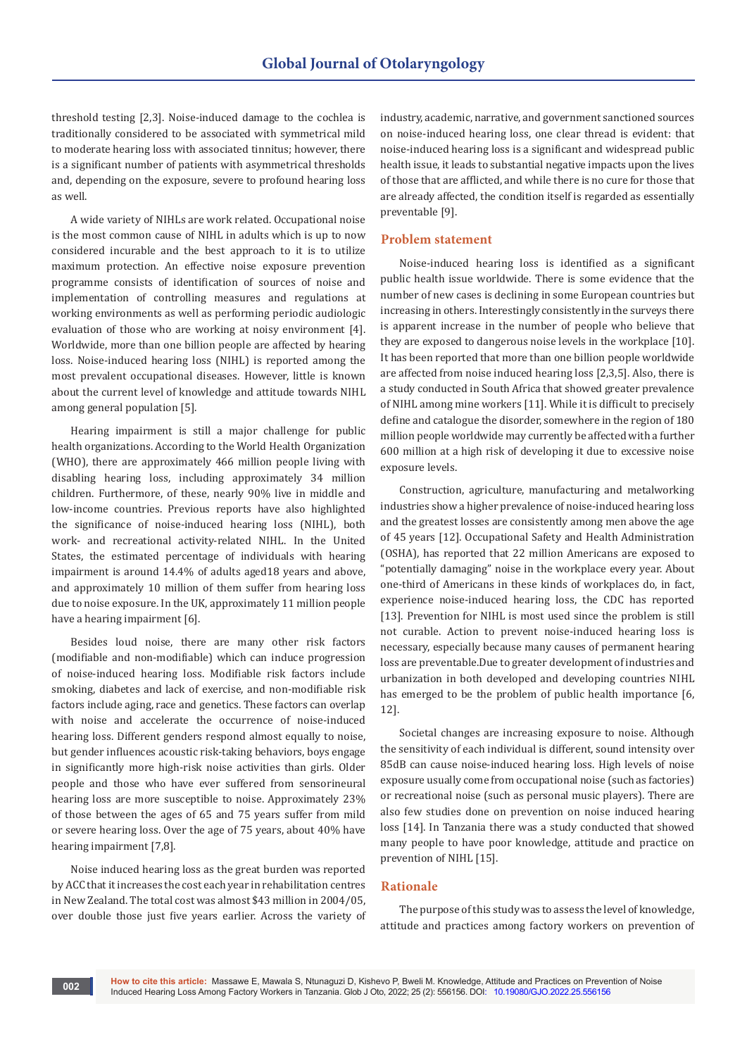threshold testing [2,3]. Noise-induced damage to the cochlea is traditionally considered to be associated with symmetrical mild to moderate hearing loss with associated tinnitus; however, there is a significant number of patients with asymmetrical thresholds and, depending on the exposure, severe to profound hearing loss as well.

A wide variety of NIHLs are work related. Occupational noise is the most common cause of NIHL in adults which is up to now considered incurable and the best approach to it is to utilize maximum protection. An effective noise exposure prevention programme consists of identification of sources of noise and implementation of controlling measures and regulations at working environments as well as performing periodic audiologic evaluation of those who are working at noisy environment [4]. Worldwide, more than one billion people are affected by hearing loss. Noise-induced hearing loss (NIHL) is reported among the most prevalent occupational diseases. However, little is known about the current level of knowledge and attitude towards NIHL among general population [5].

Hearing impairment is still a major challenge for public health organizations. According to the World Health Organization (WHO), there are approximately 466 million people living with disabling hearing loss, including approximately 34 million children. Furthermore, of these, nearly 90% live in middle and low-income countries. Previous reports have also highlighted the significance of noise-induced hearing loss (NIHL), both work- and recreational activity-related NIHL. In the United States, the estimated percentage of individuals with hearing impairment is around 14.4% of adults aged18 years and above, and approximately 10 million of them suffer from hearing loss due to noise exposure. In the UK, approximately 11 million people have a hearing impairment [6].

Besides loud noise, there are many other risk factors (modifiable and non-modifiable) which can induce progression of noise-induced hearing loss. Modifiable risk factors include smoking, diabetes and lack of exercise, and non-modifiable risk factors include aging, race and genetics. These factors can overlap with noise and accelerate the occurrence of noise-induced hearing loss. Different genders respond almost equally to noise, but gender influences acoustic risk-taking behaviors, boys engage in significantly more high-risk noise activities than girls. Older people and those who have ever suffered from sensorineural hearing loss are more susceptible to noise. Approximately 23% of those between the ages of 65 and 75 years suffer from mild or severe hearing loss. Over the age of 75 years, about 40% have hearing impairment [7,8].

Noise induced hearing loss as the great burden was reported by ACC that it increases the cost each year in rehabilitation centres in New Zealand. The total cost was almost \$43 million in 2004/05, over double those just five years earlier. Across the variety of industry, academic, narrative, and government sanctioned sources on noise-induced hearing loss, one clear thread is evident: that noise-induced hearing loss is a significant and widespread public health issue, it leads to substantial negative impacts upon the lives of those that are afflicted, and while there is no cure for those that are already affected, the condition itself is regarded as essentially preventable [9].

#### **Problem statement**

Noise-induced hearing loss is identified as a significant public health issue worldwide. There is some evidence that the number of new cases is declining in some European countries but increasing in others. Interestingly consistently in the surveys there is apparent increase in the number of people who believe that they are exposed to dangerous noise levels in the workplace [10]. It has been reported that more than one billion people worldwide are affected from noise induced hearing loss [2,3,5]. Also, there is a study conducted in South Africa that showed greater prevalence of NIHL among mine workers [11]. While it is difficult to precisely define and catalogue the disorder, somewhere in the region of 180 million people worldwide may currently be affected with a further 600 million at a high risk of developing it due to excessive noise exposure levels.

Construction, agriculture, manufacturing and metalworking industries show a higher prevalence of noise-induced hearing loss and the greatest losses are consistently among men above the age of 45 years [12]. Occupational Safety and Health Administration (OSHA), has reported that 22 million Americans are exposed to "potentially damaging" noise in the workplace every year. About one-third of Americans in these kinds of workplaces do, in fact, experience noise-induced hearing loss, the CDC has reported [13]. Prevention for NIHL is most used since the problem is still not curable. Action to prevent noise-induced hearing loss is necessary, especially because many causes of permanent hearing loss are preventable.Due to greater development of industries and urbanization in both developed and developing countries NIHL has emerged to be the problem of public health importance [6, 12].

Societal changes are increasing exposure to noise. Although the sensitivity of each individual is different, sound intensity over 85dB can cause noise-induced hearing loss. High levels of noise exposure usually come from occupational noise (such as factories) or recreational noise (such as personal music players). There are also few studies done on prevention on noise induced hearing loss [14]. In Tanzania there was a study conducted that showed many people to have poor knowledge, attitude and practice on prevention of NIHL [15].

#### **Rationale**

The purpose of this study was to assess the level of knowledge, attitude and practices among factory workers on prevention of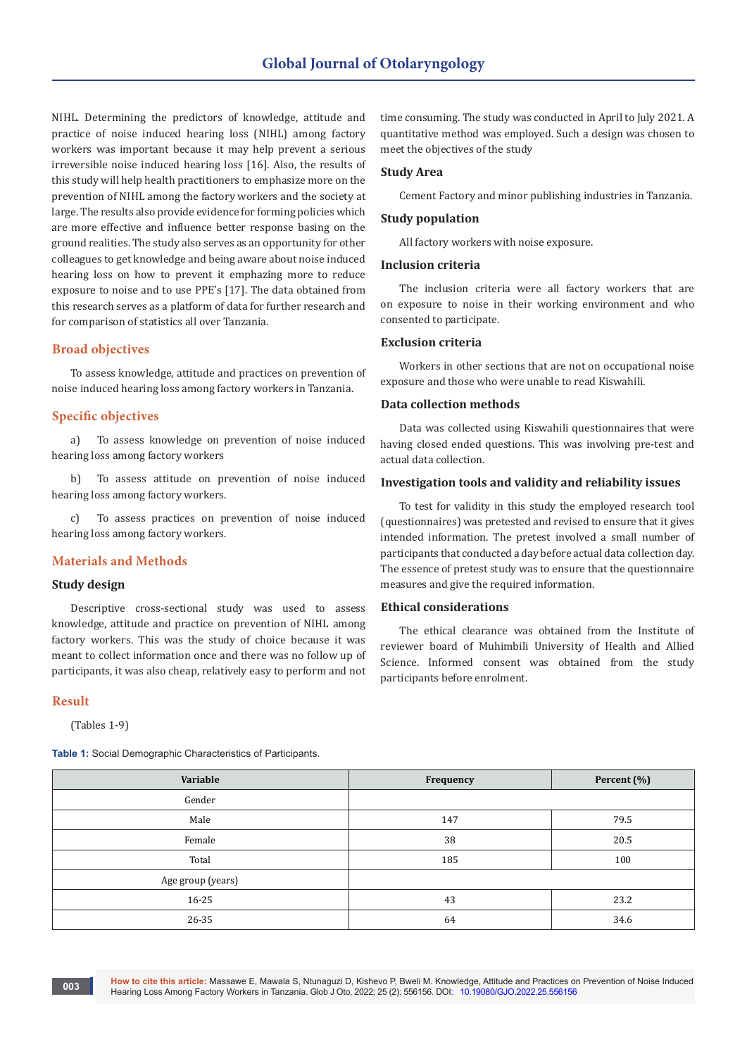NIHL. Determining the predictors of knowledge, attitude and practice of noise induced hearing loss (NIHL) among factory workers was important because it may help prevent a serious irreversible noise induced hearing loss [16]. Also, the results of this study will help health practitioners to emphasize more on the prevention of NIHL among the factory workers and the society at large. The results also provide evidence for forming policies which are more effective and influence better response basing on the ground realities. The study also serves as an opportunity for other colleagues to get knowledge and being aware about noise induced hearing loss on how to prevent it emphazing more to reduce exposure to noise and to use PPE's [17]. The data obtained from this research serves as a platform of data for further research and for comparison of statistics all over Tanzania.

#### **Broad objectives**

To assess knowledge, attitude and practices on prevention of noise induced hearing loss among factory workers in Tanzania.

### **Specific objectives**

a) To assess knowledge on prevention of noise induced hearing loss among factory workers

b) To assess attitude on prevention of noise induced hearing loss among factory workers.

c) To assess practices on prevention of noise induced hearing loss among factory workers.

#### **Materials and Methods**

#### **Study design**

Descriptive cross-sectional study was used to assess knowledge, attitude and practice on prevention of NIHL among factory workers. This was the study of choice because it was meant to collect information once and there was no follow up of participants, it was also cheap, relatively easy to perform and not

#### **Result**

(Tables 1-9)

**Table 1:** Social Demographic Characteristics of Participants.

time consuming. The study was conducted in April to July 2021. A quantitative method was employed. Such a design was chosen to meet the objectives of the study

## **Study Area**

Cement Factory and minor publishing industries in Tanzania.

### **Study population**

All factory workers with noise exposure.

#### **Inclusion criteria**

The inclusion criteria were all factory workers that are on exposure to noise in their working environment and who consented to participate.

#### **Exclusion criteria**

Workers in other sections that are not on occupational noise exposure and those who were unable to read Kiswahili.

## **Data collection methods**

Data was collected using Kiswahili questionnaires that were having closed ended questions. This was involving pre-test and actual data collection.

#### **Investigation tools and validity and reliability issues**

To test for validity in this study the employed research tool (questionnaires) was pretested and revised to ensure that it gives intended information. The pretest involved a small number of participants that conducted a day before actual data collection day. The essence of pretest study was to ensure that the questionnaire measures and give the required information.

## **Ethical considerations**

The ethical clearance was obtained from the Institute of reviewer board of Muhimbili University of Health and Allied Science. Informed consent was obtained from the study participants before enrolment.

| Variable          | Frequency | Percent (%) |
|-------------------|-----------|-------------|
| Gender            |           |             |
| Male              | 147       | 79.5        |
| Female            | 38        | 20.5        |
| Total             | 185       | 100         |
| Age group (years) |           |             |
| $16 - 25$         | 43        | 23.2        |
| 26-35             | 64        | 34.6        |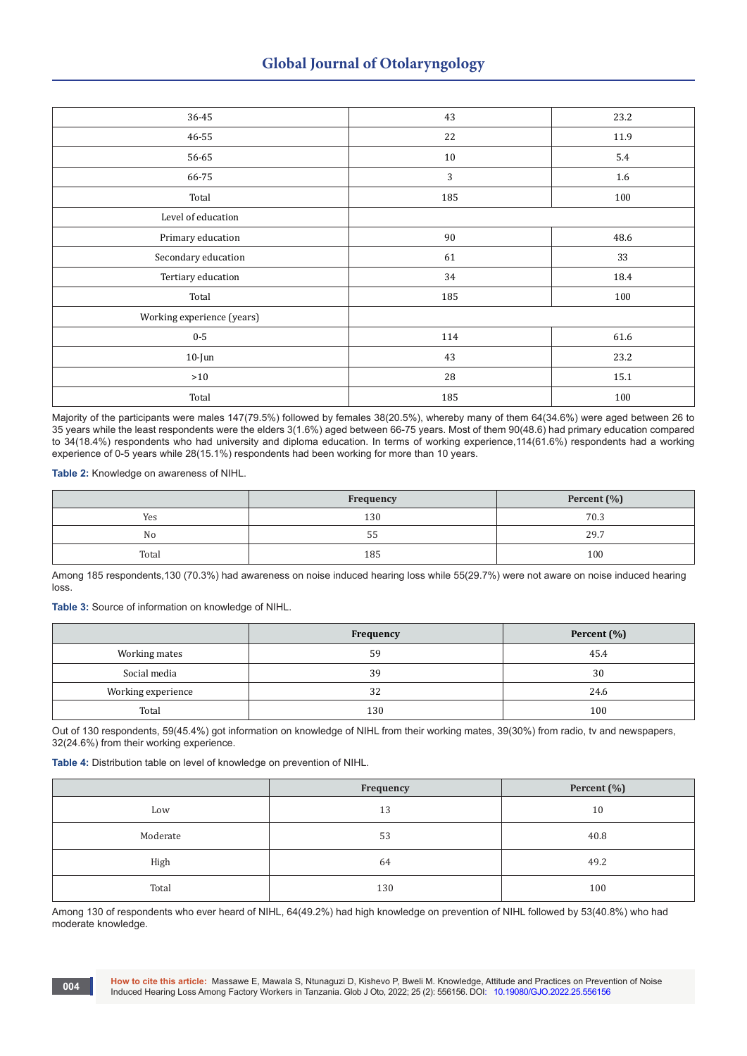| 36-45                      | 43  | 23.2 |
|----------------------------|-----|------|
| 46-55                      | 22  | 11.9 |
| 56-65                      | 10  | 5.4  |
| 66-75                      | 3   | 1.6  |
| Total                      | 185 | 100  |
| Level of education         |     |      |
| Primary education          | 90  | 48.6 |
| Secondary education        | 61  | 33   |
| Tertiary education         | 34  | 18.4 |
| Total                      | 185 | 100  |
| Working experience (years) |     |      |
| $0-5$                      | 114 | 61.6 |
| $10$ -Jun                  | 43  | 23.2 |
| $>10$                      | 28  | 15.1 |
| Total                      | 185 | 100  |

Majority of the participants were males 147(79.5%) followed by females 38(20.5%), whereby many of them 64(34.6%) were aged between 26 to 35 years while the least respondents were the elders 3(1.6%) aged between 66-75 years. Most of them 90(48.6) had primary education compared to 34(18.4%) respondents who had university and diploma education. In terms of working experience,114(61.6%) respondents had a working experience of 0-5 years while 28(15.1%) respondents had been working for more than 10 years.

**Table 2:** Knowledge on awareness of NIHL.

|       | <b>Frequency</b> | Percent $(\% )$ |  |
|-------|------------------|-----------------|--|
| Yes   | 130              | 70.3            |  |
| No    | ں ر              | 29.7            |  |
| Total | 185              | 100             |  |

Among 185 respondents,130 (70.3%) had awareness on noise induced hearing loss while 55(29.7%) were not aware on noise induced hearing loss.

**Table 3:** Source of information on knowledge of NIHL.

|                    | <b>Frequency</b> | Percent $(\% )$ |
|--------------------|------------------|-----------------|
| Working mates      | 59               | 45.4            |
| Social media       | 39               | 30              |
| Working experience | 32               | 24.6            |
| Total              | 130              | 100             |

Out of 130 respondents, 59(45.4%) got information on knowledge of NIHL from their working mates, 39(30%) from radio, tv and newspapers, 32(24.6%) from their working experience.

**Table 4:** Distribution table on level of knowledge on prevention of NIHL.

|          | Frequency | Percent (%) |
|----------|-----------|-------------|
| Low      | 13        | 10          |
| Moderate | 53        | 40.8        |
| High     | 64        | 49.2        |
| Total    | 130       | 100         |

Among 130 of respondents who ever heard of NIHL, 64(49.2%) had high knowledge on prevention of NIHL followed by 53(40.8%) who had moderate knowledge.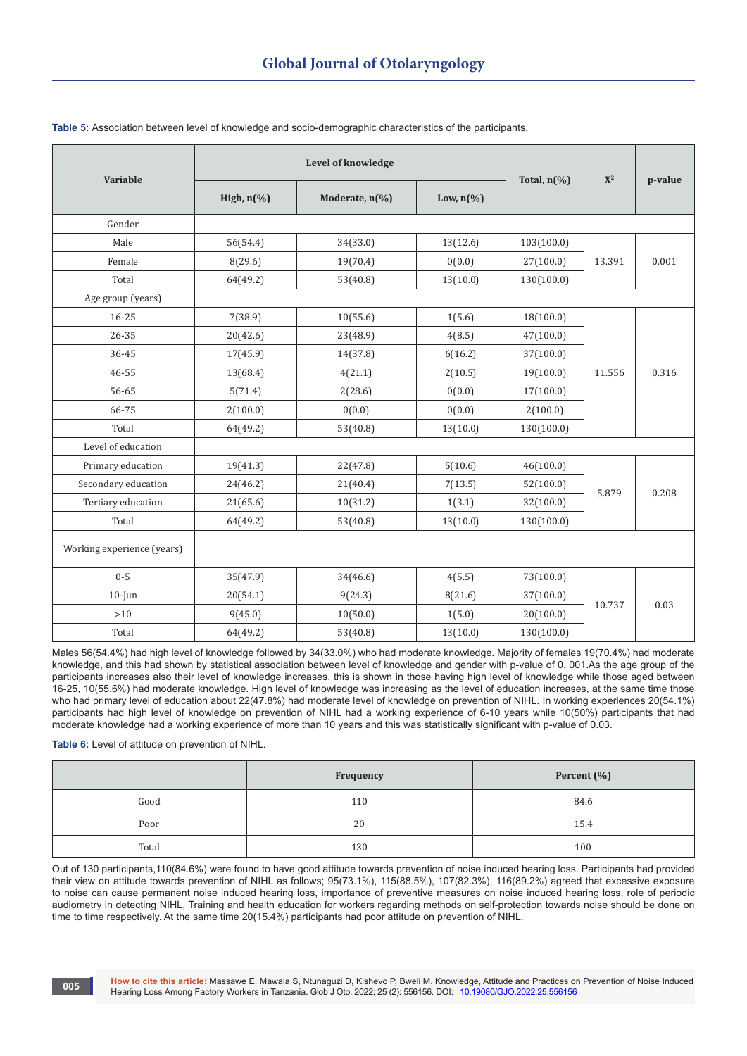| Variable                   | Level of knowledge |                |                      | Total, $n\left(\%\right)$ | $X^2$  | p-value |
|----------------------------|--------------------|----------------|----------------------|---------------------------|--------|---------|
|                            | High, $n$ (%)      | Moderate, n(%) | Low, $n\binom{0}{0}$ |                           |        |         |
| Gender                     |                    |                |                      |                           |        |         |
| Male                       | 56(54.4)           | 34(33.0)       | 13(12.6)             | 103(100.0)                |        |         |
| Female                     | 8(29.6)            | 19(70.4)       | 0(0.0)               | 27(100.0)                 | 13.391 | 0.001   |
| Total                      | 64(49.2)           | 53(40.8)       | 13(10.0)             | 130(100.0)                |        |         |
| Age group (years)          |                    |                |                      |                           |        |         |
| 16-25                      | 7(38.9)            | 10(55.6)       | 1(5.6)               | 18(100.0)                 |        |         |
| 26-35                      | 20(42.6)           | 23(48.9)       | 4(8.5)               | 47(100.0)                 |        |         |
| 36-45                      | 17(45.9)           | 14(37.8)       | 6(16.2)              | 37(100.0)                 |        | 0.316   |
| 46-55                      | 13(68.4)           | 4(21.1)        | 2(10.5)              | 19(100.0)                 | 11.556 |         |
| 56-65                      | 5(71.4)            | 2(28.6)        | 0(0.0)               | 17(100.0)                 |        |         |
| 66-75                      | 2(100.0)           | 0(0.0)         | 0(0.0)               | 2(100.0)                  |        |         |
| Total                      | 64(49.2)           | 53(40.8)       | 13(10.0)             | 130(100.0)                |        |         |
| Level of education         |                    |                |                      |                           |        |         |
| Primary education          | 19(41.3)           | 22(47.8)       | 5(10.6)              | 46(100.0)                 |        |         |
| Secondary education        | 24(46.2)           | 21(40.4)       | 7(13.5)              | 52(100.0)                 | 5.879  | 0.208   |
| Tertiary education         | 21(65.6)           | 10(31.2)       | 1(3.1)               | 32(100.0)                 |        |         |
| Total                      | 64(49.2)           | 53(40.8)       | 13(10.0)             | 130(100.0)                |        |         |
| Working experience (years) |                    |                |                      |                           |        |         |
| $0 - 5$                    | 35(47.9)           | 34(46.6)       | 4(5.5)               | 73(100.0)                 |        |         |
| $10$ -Jun                  | 20(54.1)           | 9(24.3)        | 8(21.6)              | 37(100.0)                 | 10.737 | 0.03    |
| $>10$                      | 9(45.0)            | 10(50.0)       | 1(5.0)               | 20(100.0)                 |        |         |
| Total                      | 64(49.2)           | 53(40.8)       | 13(10.0)             | 130(100.0)                |        |         |

### **Table 5:** Association between level of knowledge and socio-demographic characteristics of the participants.

Males 56(54.4%) had high level of knowledge followed by 34(33.0%) who had moderate knowledge. Majority of females 19(70.4%) had moderate knowledge, and this had shown by statistical association between level of knowledge and gender with p-value of 0. 001.As the age group of the participants increases also their level of knowledge increases, this is shown in those having high level of knowledge while those aged between 16-25, 10(55.6%) had moderate knowledge. High level of knowledge was increasing as the level of education increases, at the same time those who had primary level of education about 22(47.8%) had moderate level of knowledge on prevention of NIHL. In working experiences 20(54.1%) participants had high level of knowledge on prevention of NIHL had a working experience of 6-10 years while 10(50%) participants that had moderate knowledge had a working experience of more than 10 years and this was statistically significant with p-value of 0.03.

### **Table 6:** Level of attitude on prevention of NIHL.

|       | Frequency | Percent (%) |
|-------|-----------|-------------|
| Good  | 110       | 84.6        |
| Poor  | 20        | 15.4        |
| Total | 130       | 100         |

Out of 130 participants,110(84.6%) were found to have good attitude towards prevention of noise induced hearing loss. Participants had provided their view on attitude towards prevention of NIHL as follows; 95(73.1%), 115(88.5%), 107(82.3%), 116(89.2%) agreed that excessive exposure to noise can cause permanent noise induced hearing loss, importance of preventive measures on noise induced hearing loss, role of periodic audiometry in detecting NIHL, Training and health education for workers regarding methods on self-protection towards noise should be done on time to time respectively. At the same time 20(15.4%) participants had poor attitude on prevention of NIHL.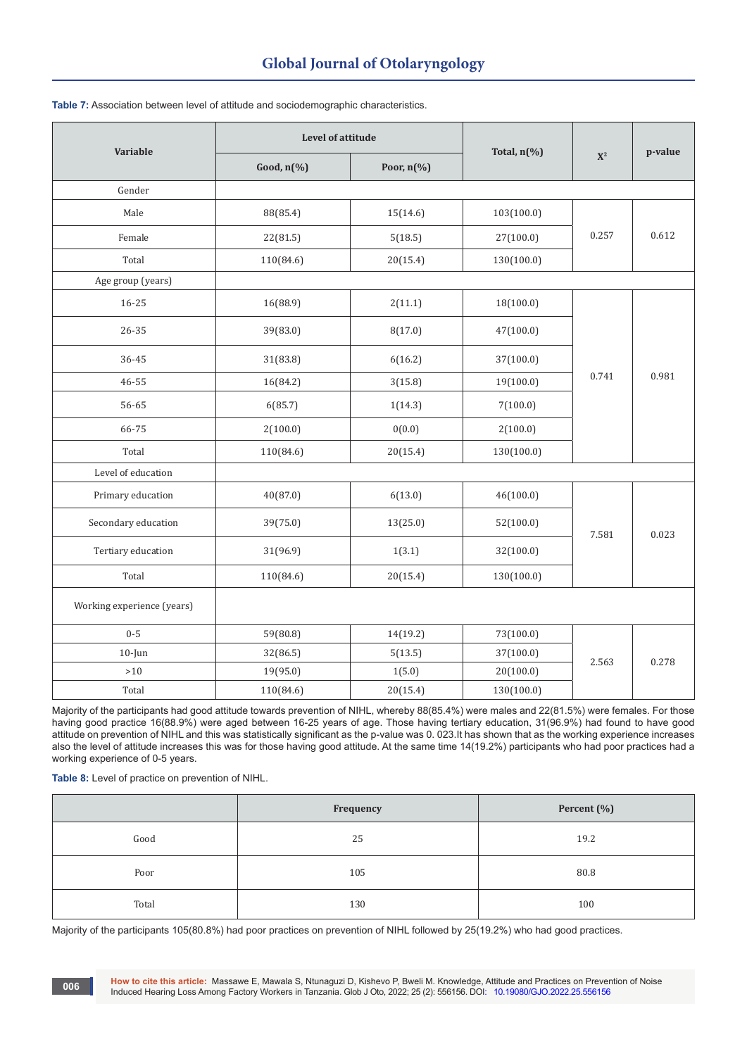| <b>Variable</b>            |                                   | Level of attitude                 |            | Total, $n\left(\frac{9}{6}\right)$ |         |
|----------------------------|-----------------------------------|-----------------------------------|------------|------------------------------------|---------|
|                            | Good, $n\left(\frac{9}{6}\right)$ | Poor, $n\left(\frac{9}{6}\right)$ |            | $\mathbf{X}^2$                     | p-value |
| Gender                     |                                   |                                   |            |                                    |         |
| Male                       | 88(85.4)                          | 15(14.6)                          | 103(100.0) | 0.257                              | 0.612   |
| Female                     | 22(81.5)                          | 5(18.5)                           | 27(100.0)  |                                    |         |
| Total                      | 110(84.6)                         | 20(15.4)                          | 130(100.0) |                                    |         |
| Age group (years)          |                                   |                                   |            |                                    |         |
| $16 - 25$                  | 16(88.9)                          | 2(11.1)                           | 18(100.0)  |                                    |         |
| 26-35                      | 39(83.0)                          | 8(17.0)                           | 47(100.0)  |                                    | 0.981   |
| 36-45                      | 31(83.8)                          | 6(16.2)                           | 37(100.0)  |                                    |         |
| 46-55                      | 16(84.2)                          | 3(15.8)                           | 19(100.0)  | 0.741                              |         |
| 56-65                      | 6(85.7)                           | 1(14.3)                           | 7(100.0)   |                                    |         |
| 66-75                      | 2(100.0)                          | 0(0.0)                            | 2(100.0)   |                                    |         |
| Total                      | 110(84.6)                         | 20(15.4)                          | 130(100.0) |                                    |         |
| Level of education         |                                   |                                   |            |                                    |         |
| Primary education          | 40(87.0)                          | 6(13.0)                           | 46(100.0)  |                                    |         |
| Secondary education        | 39(75.0)                          | 13(25.0)                          | 52(100.0)  | 7.581                              | 0.023   |
| Tertiary education         | 31(96.9)                          | 1(3.1)                            | 32(100.0)  |                                    |         |
| Total                      | 110(84.6)                         | 20(15.4)                          | 130(100.0) |                                    |         |
| Working experience (years) |                                   |                                   |            |                                    |         |
| $0 - 5$                    | 59(80.8)                          | 14(19.2)                          | 73(100.0)  |                                    |         |
| $10$ -Jun                  | 32(86.5)                          | 5(13.5)                           | 37(100.0)  | 2.563                              | 0.278   |
| $>10$                      | 19(95.0)                          | 1(5.0)                            | 20(100.0)  |                                    |         |
| Total                      | 110(84.6)                         | 20(15.4)                          | 130(100.0) |                                    |         |

**Table 7:** Association between level of attitude and sociodemographic characteristics.

Majority of the participants had good attitude towards prevention of NIHL, whereby 88(85.4%) were males and 22(81.5%) were females. For those having good practice 16(88.9%) were aged between 16-25 years of age. Those having tertiary education, 31(96.9%) had found to have good attitude on prevention of NIHL and this was statistically significant as the p-value was 0. 023.It has shown that as the working experience increases also the level of attitude increases this was for those having good attitude. At the same time 14(19.2%) participants who had poor practices had a working experience of 0-5 years.

**Table 8:** Level of practice on prevention of NIHL.

|       | Frequency | Percent (%) |
|-------|-----------|-------------|
| Good  | 25        | 19.2        |
| Poor  | 105       | 80.8        |
| Total | 130       | 100         |

Majority of the participants 105(80.8%) had poor practices on prevention of NIHL followed by 25(19.2%) who had good practices.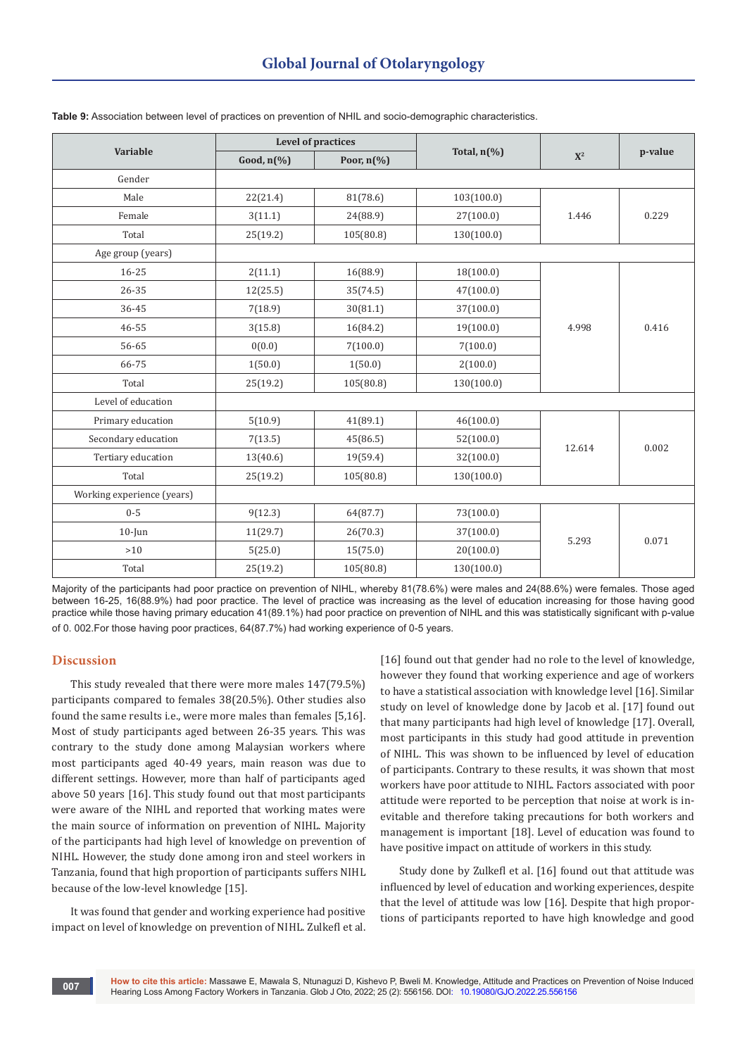| <b>Variable</b>            | Level of practices                |                                   |                                    |        |         |
|----------------------------|-----------------------------------|-----------------------------------|------------------------------------|--------|---------|
|                            | Good, $n\left(\frac{9}{6}\right)$ | Poor, $n\left(\frac{9}{6}\right)$ | Total, $n\left(\frac{0}{0}\right)$ | $X^2$  | p-value |
| Gender                     |                                   |                                   |                                    |        |         |
| Male                       | 22(21.4)                          | 81(78.6)                          | 103(100.0)                         |        |         |
| Female                     | 3(11.1)                           | 24(88.9)                          | 27(100.0)                          | 1.446  | 0.229   |
| Total                      | 25(19.2)                          | 105(80.8)                         | 130(100.0)                         |        |         |
| Age group (years)          |                                   |                                   |                                    |        |         |
| $16 - 25$                  | 2(11.1)                           | 16(88.9)                          | 18(100.0)                          |        |         |
| $26 - 35$                  | 12(25.5)                          | 35(74.5)                          | 47(100.0)                          |        |         |
| 36-45                      | 7(18.9)                           | 30(81.1)                          | 37(100.0)                          |        |         |
| 46-55                      | 3(15.8)                           | 16(84.2)                          | 19(100.0)                          | 4.998  | 0.416   |
| 56-65                      | 0(0.0)                            | 7(100.0)                          | 7(100.0)                           |        |         |
| 66-75                      | 1(50.0)                           | 1(50.0)                           | 2(100.0)                           |        |         |
| Total                      | 25(19.2)                          | 105(80.8)                         | 130(100.0)                         |        |         |
| Level of education         |                                   |                                   |                                    |        |         |
| Primary education          | 5(10.9)                           | 41(89.1)                          | 46(100.0)                          |        |         |
| Secondary education        | 7(13.5)                           | 45(86.5)                          | 52(100.0)                          |        |         |
| Tertiary education         | 13(40.6)                          | 19(59.4)                          | 32(100.0)                          | 12.614 | 0.002   |
| Total                      | 25(19.2)                          | 105(80.8)                         | 130(100.0)                         |        |         |
| Working experience (years) |                                   |                                   |                                    |        |         |
| $0 - 5$                    | 9(12.3)                           | 64(87.7)                          | 73(100.0)                          |        |         |
| $10$ -Jun                  | 11(29.7)                          | 26(70.3)                          | 37(100.0)                          | 5.293  | 0.071   |
| >10                        | 5(25.0)                           | 15(75.0)                          | 20(100.0)                          |        |         |
| Total                      | 25(19.2)                          | 105(80.8)                         | 130(100.0)                         |        |         |

**Table 9:** Association between level of practices on prevention of NHIL and socio-demographic characteristics.

Majority of the participants had poor practice on prevention of NIHL, whereby 81(78.6%) were males and 24(88.6%) were females. Those aged between 16-25, 16(88.9%) had poor practice. The level of practice was increasing as the level of education increasing for those having good practice while those having primary education 41(89.1%) had poor practice on prevention of NIHL and this was statistically significant with p-value of 0. 002.For those having poor practices, 64(87.7%) had working experience of 0-5 years.

## **Discussion**

This study revealed that there were more males 147(79.5%) participants compared to females 38(20.5%). Other studies also found the same results i.e., were more males than females [5,16]. Most of study participants aged between 26-35 years. This was contrary to the study done among Malaysian workers where most participants aged 40-49 years, main reason was due to different settings. However, more than half of participants aged above 50 years [16]. This study found out that most participants were aware of the NIHL and reported that working mates were the main source of information on prevention of NIHL. Majority of the participants had high level of knowledge on prevention of NIHL. However, the study done among iron and steel workers in Tanzania, found that high proportion of participants suffers NIHL because of the low-level knowledge [15].

It was found that gender and working experience had positive impact on level of knowledge on prevention of NIHL. Zulkefl et al.

[16] found out that gender had no role to the level of knowledge, however they found that working experience and age of workers to have a statistical association with knowledge level [16]. Similar study on level of knowledge done by Jacob et al. [17] found out that many participants had high level of knowledge [17]. Overall, most participants in this study had good attitude in prevention of NIHL. This was shown to be influenced by level of education of participants. Contrary to these results, it was shown that most workers have poor attitude to NIHL. Factors associated with poor attitude were reported to be perception that noise at work is inevitable and therefore taking precautions for both workers and management is important [18]. Level of education was found to have positive impact on attitude of workers in this study.

Study done by Zulkefl et al. [16] found out that attitude was influenced by level of education and working experiences, despite that the level of attitude was low [16]. Despite that high proportions of participants reported to have high knowledge and good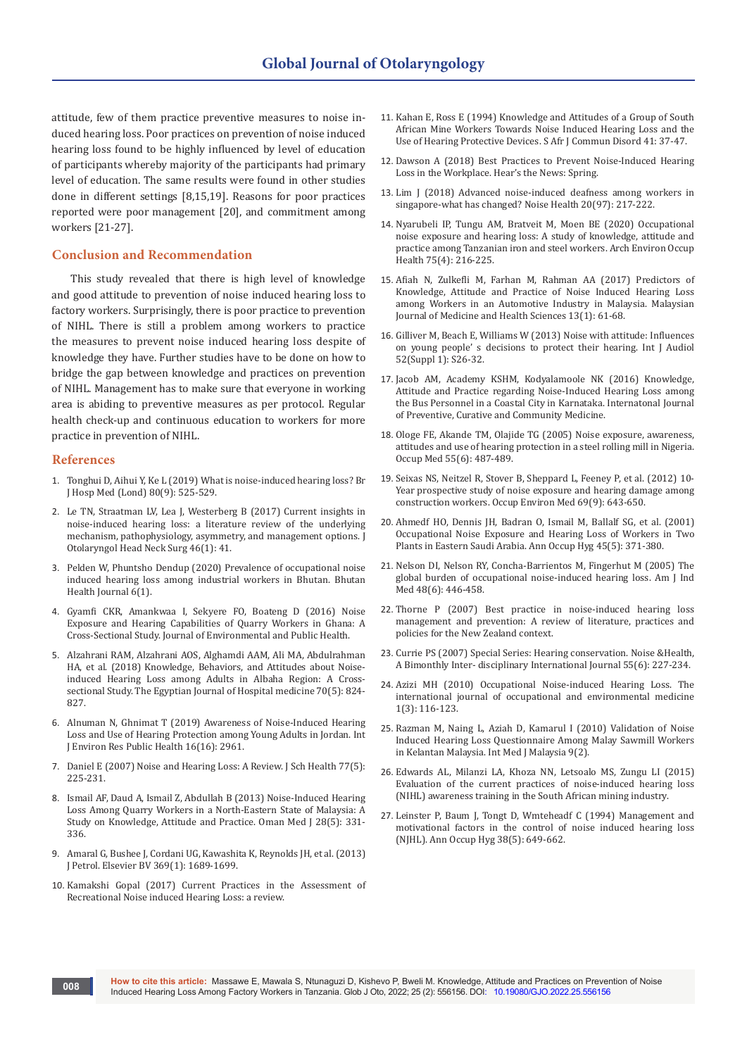attitude, few of them practice preventive measures to noise induced hearing loss. Poor practices on prevention of noise induced hearing loss found to be highly influenced by level of education of participants whereby majority of the participants had primary level of education. The same results were found in other studies done in different settings [8,15,19]. Reasons for poor practices reported were poor management [20], and commitment among workers [21-27].

### **Conclusion and Recommendation**

This study revealed that there is high level of knowledge and good attitude to prevention of noise induced hearing loss to factory workers. Surprisingly, there is poor practice to prevention of NIHL. There is still a problem among workers to practice the measures to prevent noise induced hearing loss despite of knowledge they have. Further studies have to be done on how to bridge the gap between knowledge and practices on prevention of NIHL. Management has to make sure that everyone in working area is abiding to preventive measures as per protocol. Regular health check-up and continuous education to workers for more practice in prevention of NIHL.

#### **References**

- 1. [Tonghui D, Aihui Y, Ke L \(2019\) What is noise-induced hearing loss? Br](https://pubmed.ncbi.nlm.nih.gov/31498679/)  [J Hosp Med \(Lond\) 80\(9\): 525-529.](https://pubmed.ncbi.nlm.nih.gov/31498679/)
- 2. [Le TN, Straatman LV, Lea J, Westerberg B \(2017\) Current insights in](https://pubmed.ncbi.nlm.nih.gov/28535812/)  [noise-induced hearing loss: a literature review of the underlying](https://pubmed.ncbi.nlm.nih.gov/28535812/)  [mechanism, pathophysiology, asymmetry, and management options. J](https://pubmed.ncbi.nlm.nih.gov/28535812/)  [Otolaryngol Head Neck Surg 46\(1\): 41.](https://pubmed.ncbi.nlm.nih.gov/28535812/)
- 3. [Pelden W, Phuntsho Dendup \(2020\) Prevalence of occupational noise](https://bhj.com.bt/index.php/bhj/article/view/98)  [induced hearing loss among industrial workers in Bhutan. Bhutan](https://bhj.com.bt/index.php/bhj/article/view/98)  [Health Journal 6\(1\).](https://bhj.com.bt/index.php/bhj/article/view/98)
- 4. [Gyamfi CKR, Amankwaa I, Sekyere FO, Boateng D \(2016\) Noise](https://www.hindawi.com/journals/jeph/2016/7054276/)  [Exposure and Hearing Capabilities of Quarry Workers in Ghana: A](https://www.hindawi.com/journals/jeph/2016/7054276/)  [Cross-Sectional Study. Journal of Environmental and Public Health.](https://www.hindawi.com/journals/jeph/2016/7054276/)
- 5. [Alzahrani RAM, Alzahrani AOS, Alghamdi AAM, Ali MA, Abdulrahman](https://ejhm.journals.ekb.eg/article_11091.html)  [HA, et al. \(2018\) Knowledge, Behaviors, and Attitudes about Noise](https://ejhm.journals.ekb.eg/article_11091.html)[induced Hearing Loss among Adults in Albaha Region: A Cross](https://ejhm.journals.ekb.eg/article_11091.html)[sectional Study. The Egyptian Journal of Hospital medicine 70\(5\): 824-](https://ejhm.journals.ekb.eg/article_11091.html) [827.](https://ejhm.journals.ekb.eg/article_11091.html)
- 6. [Alnuman N, Ghnimat T \(2019\) Awareness of Noise-Induced Hearing](https://pubmed.ncbi.nlm.nih.gov/31426478/)  [Loss and Use of Hearing Protection among Young Adults in Jordan. Int](https://pubmed.ncbi.nlm.nih.gov/31426478/)  [J Environ Res Public Health 16\(16\): 2961.](https://pubmed.ncbi.nlm.nih.gov/31426478/)
- 7. [Daniel E \(2007\) Noise and Hearing Loss: A Review. J Sch Health 77\(5\):](https://pubmed.ncbi.nlm.nih.gov/17430434/)  [225-231.](https://pubmed.ncbi.nlm.nih.gov/17430434/)
- 8. [Ismail AF, Daud A, Ismail Z, Abdullah B \(2013\) Noise-Induced Hearing](https://pubmed.ncbi.nlm.nih.gov/24044059/)  [Loss Among Quarry Workers in a North-Eastern State of Malaysia: A](https://pubmed.ncbi.nlm.nih.gov/24044059/)  [Study on Knowledge, Attitude and Practice. Oman Med J 28\(5\): 331-](https://pubmed.ncbi.nlm.nih.gov/24044059/) [336.](https://pubmed.ncbi.nlm.nih.gov/24044059/)
- 9. Amaral G, Bushee J, Cordani UG, Kawashita K, Reynolds JH, et al. (2013) J Petrol. Elsevier BV 369(1): 1689-1699.
- 10. Kamakshi Gopal (2017) Current Practices in the Assessment of Recreational Noise induced Hearing Loss: a review.
- 11. [Kahan E, Ross E \(1994\) Knowledge and Attitudes of a Group of South](https://pubmed.ncbi.nlm.nih.gov/8602542/)  [African Mine Workers Towards Noise Induced Hearing Loss and the](https://pubmed.ncbi.nlm.nih.gov/8602542/)  [Use of Hearing Protective Devices. S Afr J Commun Disord 41: 37-47.](https://pubmed.ncbi.nlm.nih.gov/8602542/)
- 12. Dawson A (2018) Best Practices to Prevent Noise-Induced Hearing Loss in the Workplace. Hear's the News: Spring.
- 13. [Lim J \(2018\) Advanced noise-induced deafness among workers in](https://pubmed.ncbi.nlm.nih.gov/31823908/)  [singapore-what has changed? Noise Health 20\(97\): 217-222.](https://pubmed.ncbi.nlm.nih.gov/31823908/)
- 14. [Nyarubeli IP, Tungu AM, Bratveit M, Moen BE \(2020\) Occupational](https://pubmed.ncbi.nlm.nih.gov/31033430/)  [noise exposure and hearing loss: A study of knowledge, attitude and](https://pubmed.ncbi.nlm.nih.gov/31033430/)  [practice among Tanzanian iron and steel workers. Arch Environ Occup](https://pubmed.ncbi.nlm.nih.gov/31033430/)  [Health 75\(4\): 216-225.](https://pubmed.ncbi.nlm.nih.gov/31033430/)
- 15. [Afiah N, Zulkefli M, Farhan M, Rahman AA \(2017\) Predictors of](https://localcontent.library.uitm.edu.my/id/eprint/9540/)  [Knowledge, Attitude and Practice of Noise Induced Hearing Loss](https://localcontent.library.uitm.edu.my/id/eprint/9540/)  [among Workers in an Automotive Industry in Malaysia. Malaysian](https://localcontent.library.uitm.edu.my/id/eprint/9540/)  [Journal of Medicine and Health Sciences 13\(1\): 61-68.](https://localcontent.library.uitm.edu.my/id/eprint/9540/)
- 16. [Gilliver M, Beach E, Williams W \(2013\) Noise with attitude: Influences](https://pubmed.ncbi.nlm.nih.gov/23373739/)  [on young people' s decisions to protect their hearing. Int J Audiol](https://pubmed.ncbi.nlm.nih.gov/23373739/)  [52\(Suppl 1\): S26-32.](https://pubmed.ncbi.nlm.nih.gov/23373739/)
- 17. Jacob AM, Academy KSHM, Kodyalamoole NK (2016) Knowledge, Attitude and Practice regarding Noise-Induced Hearing Loss among the Bus Personnel in a Coastal City in Karnataka. Internatonal Journal of Preventive, Curative and Community Medicine.
- 18. [Ologe FE, Akande TM, Olajide TG \(2005\) Noise exposure, awareness,](https://pubmed.ncbi.nlm.nih.gov/15845553/)  [attitudes and use of hearing protection in a steel rolling mill in Nigeria.](https://pubmed.ncbi.nlm.nih.gov/15845553/)  [Occup Med 55\(6\): 487-489.](https://pubmed.ncbi.nlm.nih.gov/15845553/)
- 19. [Seixas NS, Neitzel R, Stover B, Sheppard L, Feeney P, et al. \(2012\) 10-](https://pubmed.ncbi.nlm.nih.gov/22693267/) [Year prospective study of noise exposure and hearing damage among](https://pubmed.ncbi.nlm.nih.gov/22693267/)  [construction workers. Occup Environ Med 69\(9\): 643-650.](https://pubmed.ncbi.nlm.nih.gov/22693267/)
- 20. [Ahmedf HO, Dennis JH, Badran O, Ismail M, Ballalf SG, et al. \(2001\)](https://pubmed.ncbi.nlm.nih.gov/11418087/)  [Occupational Noise Exposure and Hearing Loss of Workers in Two](https://pubmed.ncbi.nlm.nih.gov/11418087/)  [Plants in Eastern Saudi Arabia. Ann Occup Hyg 45\(5\): 371-380.](https://pubmed.ncbi.nlm.nih.gov/11418087/)
- 21. [Nelson DI, Nelson RY, Concha-Barrientos M, Fingerhut M \(2005\) The](https://pubmed.ncbi.nlm.nih.gov/16299704/)  [global burden of occupational noise-induced hearing loss. Am J Ind](https://pubmed.ncbi.nlm.nih.gov/16299704/)  [Med 48\(6\): 446-458.](https://pubmed.ncbi.nlm.nih.gov/16299704/)
- 22. Thorne P (2007) Best practice in noise-induced hearing loss management and prevention: A review of literature, practices and policies for the New Zealand context.
- 23. Currie PS (2007) Special Series: Hearing conservation. Noise &Health, A Bimonthly Inter- disciplinary International Journal 55(6): 227-234.
- 24. [Azizi MH \(2010\) Occupational Noise-induced Hearing Loss. The](https://www.sid.ir/en/Journal/ViewPaper.aspx?ID=185184)  [international journal of occupational and environmental medicine](https://www.sid.ir/en/Journal/ViewPaper.aspx?ID=185184)  [1\(3\): 116-123.](https://www.sid.ir/en/Journal/ViewPaper.aspx?ID=185184)
- 25. [Razman M, Naing L, Aziah D, Kamarul I \(2010\) Validation of Noise](https://journals.iium.edu.my/kom/index.php/imjm/article/view/721)  [Induced Hearing Loss Questionnaire Among Malay Sawmill Workers](https://journals.iium.edu.my/kom/index.php/imjm/article/view/721)  [in Kelantan Malaysia. Int Med J Malaysia 9\(2\).](https://journals.iium.edu.my/kom/index.php/imjm/article/view/721)
- 26. [Edwards AL, Milanzi LA, Khoza NN, Letsoalo MS, Zungu LI \(2015\)](https://researchspace.csir.co.za/dspace/handle/10204/8030)  [Evaluation of the current practices of noise-induced hearing loss](https://researchspace.csir.co.za/dspace/handle/10204/8030)  [\(NIHL\) awareness training in the South African mining industry.](https://researchspace.csir.co.za/dspace/handle/10204/8030)
- 27. [Leinster P, Baum J, Tongt D, Wmteheadf C \(1994\) Management and](https://pubmed.ncbi.nlm.nih.gov/7978989/)  [motivational factors in the control of noise induced hearing loss](https://pubmed.ncbi.nlm.nih.gov/7978989/)  [\(NJHL\). Ann Occup Hyg 38\(5\): 649-662.](https://pubmed.ncbi.nlm.nih.gov/7978989/)

**008**